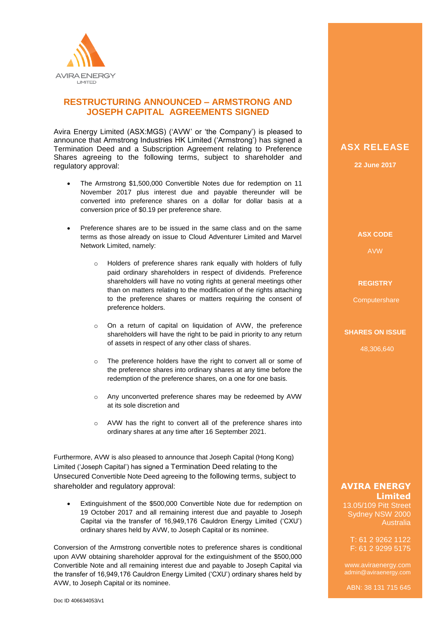

## **RESTRUCTURING ANNOUNCED – ARMSTRONG AND JOSEPH CAPITAL AGREEMENTS SIGNED**

Avira Energy Limited (ASX:MGS) ('AVW' or 'the Company') is pleased to announce that Armstrong Industries HK Limited ('Armstrong') has signed a Termination Deed and a Subscription Agreement relating to Preference Shares agreeing to the following terms, subject to shareholder and regulatory approval:

- The Armstrong \$1,500,000 Convertible Notes due for redemption on 11 November 2017 plus interest due and payable thereunder will be converted into preference shares on a dollar for dollar basis at a conversion price of \$0.19 per preference share.
- Preference shares are to be issued in the same class and on the same terms as those already on issue to Cloud Adventurer Limited and Marvel Network Limited, namely:
	- o Holders of preference shares rank equally with holders of fully paid ordinary shareholders in respect of dividends. Preference shareholders will have no voting rights at general meetings other than on matters relating to the modification of the rights attaching to the preference shares or matters requiring the consent of preference holders.
	- o On a return of capital on liquidation of AVW, the preference shareholders will have the right to be paid in priority to any return of assets in respect of any other class of shares.
	- o The preference holders have the right to convert all or some of the preference shares into ordinary shares at any time before the redemption of the preference shares, on a one for one basis.
	- o Any unconverted preference shares may be redeemed by AVW at its sole discretion and
	- o AVW has the right to convert all of the preference shares into ordinary shares at any time after 16 September 2021.

Furthermore, AVW is also pleased to announce that Joseph Capital (Hong Kong) Limited ('Joseph Capital') has signed a Termination Deed relating to the Unsecured Convertible Note Deed agreeing to the following terms, subject to shareholder and regulatory approval:

 Extinguishment of the \$500,000 Convertible Note due for redemption on 19 October 2017 and all remaining interest due and payable to Joseph Capital via the transfer of 16,949,176 Cauldron Energy Limited ('CXU') ordinary shares held by AVW, to Joseph Capital or its nominee.

Conversion of the Armstrong convertible notes to preference shares is conditional upon AVW obtaining shareholder approval for the extinguishment of the \$500,000 Convertible Note and all remaining interest due and payable to Joseph Capital via the transfer of 16,949,176 Cauldron Energy Limited ('CXU') ordinary shares held by AVW, to Joseph Capital or its nominee.

# **ASX RELEASE**

**22 June 2017**

## **ASX CODE**

AVW

#### **REGISTRY**

**Computershare** 

### **SHARES ON ISSUE**

48,306,640

## **AVIRA ENERGY Limited**

13.05/109 Pitt Street Sydney NSW 2000 Australia

T: 61 2 9262 1122 F: 61 2 9299 5175

www.aviraenergy.com admin@aviraenergy.com

ABN: 38 131 715 645